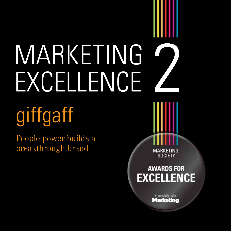# MARKETING EXCELLENCE giffgaff

People power builds a breakthrough brand

**MARKETING SOCIETY** 

### **AWARDS FOR EXCELLENCE**

in association with Marketing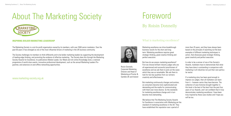The Society challenges its members to think differently and to be bolder marketing leaders by supporting the development of leading-edge thinking, and promoting the evidence of effective marketing. The Society does this through the Marketing Society Awards for Excellence; its publications Market Leader, Our Week and rich online Knowledge Zone; a national programme of world-class events; innovative professional development, such as the annual Marketing Leaders Programme; and extensive on-and-offline networking opportunities.

www.marketing-society.org.uk



#### **INSPIRING BOLDER MARKETING LEADERSHIP**

The Marketing Society is a not-for-profit organisation owned by its members, with over 2500 senior marketers. Over the pas 50 years it has emerged as  $\alpha$  e of the most influential drivers of marketing in the UK business community.

> Roisin Donnelly Corporate Marketing Director and Head of Marketing at Procter & Gamble UK and Ireland

### By Roisin Donnelly

## Foreword

Marketing excellence can drive breakthrough business results for the short and long term. Marketing excellence requires great strategic thinking, great creative thinking and perfect execution.

But how do we assess marketing excellence? First we choose brilliant industry judges who are all experienced and successful practitioners of excellence and we ask them to pick out the cases which they see as remarkable. We ask them to look for two key qualities from our winners: creativity and effectiveness.

But marketing continuously changes and evolves, as consumers become more sophisticated and demanding and the media for communicating with them ever more diverse. So the standards for marketing excellence change and in turn become more demanding.

We believe that The Marketing Society Awards for Excellence in association with Marketing set the standard of marketing excellence in the UK. They have established this reputation over a period of

more than 25 years, and they have always been based on the principle of searching out the best examples of different marketing techniques in action, that showcase great strategic thinking, great creativity and perfect execution.

In order to be a winner of one of the Society's Awards, marketers have to demonstrate that what they have done is outstanding in comparison with marketing in all industries not just their own particular sector.

If a marketing story has been good enough to impress our judges, then all marketers can learn from it – however senior they have become. The collection of case histories brought together in this book is the best of the best from the past four years of our Awards, and I am confident that it truly demonstrates marketing excellence. I have been truly inspired by these case studies and I hope you will be too.

#### What is marketing excellence?

## About The Marketing Society

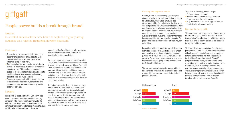### People power builds a breakthrough brand

## giffgaff

#### Key insights

- A powerful mix of entrepreneurialism and digital dexterity enabled mobile phone operator  $\mathsf{O}_2$  to create a new brand to attract a sceptical but influential group of customers.
- $\bullet$  This interesting new brand worked on a collective principle of incentivising its satisfied customers to recruit new ones. This emulated the mutuality embodied in social platforms such as Wikipedia to provide real value for customers while keeping operating costs as low as possible.
- Developing strong bonds with customers through this strong focus on simplicity, transparency and rewards has been a source of continuing insight and brand advocacy.

In late 2009  $O<sub>2</sub>$  created giffgaff, a SIM-only mobile network, to attract an audience of digitally-savvy consumers who avoided traditional networks. Its defining characteristic was the application of the community-powered model of social media sites such as Wikipedia to the mobile sector. Based on

#### Summary

O2 created an iconoclastic new brand to capture a digitally-savvy al | Launching New Brands | giffgaff | People power builds a breakthrough brand<br> **C**<br> **People power builds a breakthrough Snapshot**<br>
O<sub>2</sub> created an iconoclastic new brand to capture a dig<br>
audience who rejected traditiona

> mutuality, giffgaff would not only offer great value, but would reward consumers financially and emotionally for their contribution.

Its journey began with a beta launch in November 2009 with a collection of weird and wonderful tools to draw in these tech-loving individuals. They could 'hire' these tools for free and bring them to life by making a video which they could then upload to YouTube. They were also incentivised to take part with the prize of a SIM card that offered free calls. texts and data for a year, along with cash prizes for sharing and creativity.

Following a successful debut, the public launch six months later was aimed at a more mainstream audience and focused on driving word-of-mouth through a tightly-integrated campaign. It achieved significant success despite its comparably small share of voice in paid media. The brand has since gone from strength to strength and boasts a base of committed members who continue to act as brand advocates by recruiting new customers.

#### Snapshot

#### Breaking the corporate mould

When O 2's head of brand strategy Gav Thompson attended a social media conference in San Francisco, he was struck by what would turn out to be a game-changing idea for the business. Inspired by the way that platforms like Wikipedia and Facebook were enabling new, non-institutional ways of doing things, he imagined a mobile network run on the principle of mutuality: one that rewarded its community of customers for doing much of the work normally done by employees. He could see a gap in the market for people who liked to get involved in different ways of doing things.

Back at head office, the analysts concluded there just might be a business in it. And so the idea of giffgaff was conceived: a mobile virtual network operator (MVNO) which would run on the  $O_2$  network and be owned by O 2, but which would operate as a separate business and target a group of consumers for whom the O 2 brand had little appeal.

The first step was to hire creative agency Albion to help transform what was still an embryonic idea and a rather thin business plan into a fully-fledged and profitable business.

#### Calls per minute Texts

Figure 1.Cost comparisons

The brief was dauntingly broad in scope:

- Define and name the brand.
- Identify and understand the target audience.
- Design and build the web interface.
- Help develop the business strategy and process.
- Create the launch communications.

#### Bringing the brand to life

The name chosen for the nascent brand encapsulated its essence: giffgaff, which is an ancient Scottish term meaning 'mutual giving', but which also sounds like it is describing a conversation: an apt metaphor for a social mobile network.

The big challenge was how to transform the loose principle of mutuality into a fuctional business model. giffgaff's association with  $O<sub>2</sub>$  meant that emotional rewards alone might be met with scepticism, so fuctional benefit was also created: 'Payback', giffgaff's reward currency, which members could convert into cash, credit or a charity donation. More significantly, these pioneering members would provide customer service by helping new members with queries and problems. The goal was to deliver better and more efficient service than that of the big networks' call centre model; one which could therefore offer much better value (Figure 1).



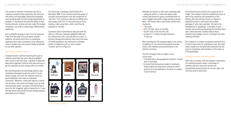The concept of member involvement was key to creating a powerful value proposition. By removing call centres and big-budget advertising campaigns, costs would be kept low and savings passed back to members. It would give the brand the ability to beat the big networks on price and even match the budget competitors, but with an interestingly differentiated experience.

Key to giffgaff's strategy is that it isn't for everyone. Freed from the need to try and attract a broad audience, the brand could focus on creating an experience that really connected to that substantial niche of mobile users who weren't being recognised by any other operator.

#### Banking on people power

Accepted wisdom said that launching this type of network would take two years. Because giffgaff didn't want to wait that long, it decided to adopt the beta launch approach common with web start-ups to get the operation up and running within six months.

Although the barriers to entry were set  $-$  asking the public to create and uplog content had proved too great a stumb many a bigger brand with a large exist  $base - the results after a scan time$ impressive:

- **156 videos**
- 615,116 video views on YouTube.
- 43,301 visits to the Tool Hire site.
- $\bullet$  A reach of 1.2 million through primetime TV pick-up.

But launching before the technology platform was completely developed would only work if it could attract enough users onto the network to give it a good shakedown and create an embryonic community. Moreover, a beta test requires a certain sort of person: they need to be happy to put up with, and accurately report, any bugs in the technology in return for the 'bragging' rights of being first in. It was felt that those traits would be found among students, particularly at art colleges.

- $\bullet$  It showed that a strong appetite existed for a brand built on mutuality.
- It proved that the business model of communitybased support and acquisition worked as well in practice as it had sketched on the back of a napkin in San Francisco.

| eemingly high   |
|-----------------|
| oad video       |
| oling block for |
| sting customer  |
| months were     |
|                 |

The result was a campaign which kicked off in November 2009. It was centred around the power of mutuality and participation with the introduction of 'Tool Hire'. This involved a collection of offbeat tools that people could 'hire' for free and bring to life by making a video using them which could then be uploaded to YouTube.

Consumers were incentivised to take part with the offer of a VIG (very important giffgaffer) SIM card that offered free calls, texts and data for a year. To promote sharing and creativity there were five prizes of £5,000 awarded to the community-nominated winner of categories such as 'most viewed', 'funniest' and so on (Figure 2).

> The first campaign made an impact in two critical ways:

More significantly, the campaign began to lay strong foundations for the community-powered business model, with members proving themselves to be effective recruiters. This emphasis on simple transparency proved to be a hit and a major draw for smartphone users. But what really created buzz and generated advocacy was the level of consultation with members on the make-up of the goodybags.

The community also proved to be a great source of insight. The members loved the competitive prices as well as the simplicity and transparency of the offering. But they had also shown an interest in additional products, particularly the bundled packages of calls, texts and data. This led to the development of 'goodybags', or bundles of texts, minutes and containing everything the members liked about other networks' bundles without those elements they disliked, such as 'unlimited' not really meaning unlimited.

#### Moving towards the mainstream

After only six months, with the powerful combination of a working business model, a solid base of members poised to deal with queries and competitively-priced products for all user types, the time had come to leave beta.



Figure 2. 'VIG' SIM card campaign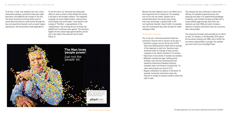To do that, a 'hook' was needed to win over a more mainstream audience, particularly those who might have been a bit baffled by the concept of Tool Hire. The launch would aim at driving online word-ofmouth about the brand to create activity through the low-cost acquisition channels, such as search engine optimisation, that the business model depended on.

For the first time, too, the brand was showcased offline as well as online to help validate the service in the eyes of this broader audience. The integrated campaign ran across digital outdoor, national press, online display and social media. It was based on the concept of 'The Man', a representation of the 'establishment' way of doing the sort of things that giffgaff and it customers were against. The caricature tapped into the cultural rage against bankers and fat cats in the wake of the recession and oil spills (Figure 3).



Because the main objective was to use offline not to drive acquisition but to create buzz, the campaign was run for only two weeks. Despite such a concentrated period, the results were strong. Even more promisingly, it ignited traffic in the non-traditional channels. Search traffic, for example, was still increasing 20 days after the paid-for media campaign ended.

#### Building on success

The 'run by you' community-powered model has continued to flourish and its success can be seen in: • Excellent customer service. By the end of 2010 there were 8,000 questions asked with an average of five responses to each one. Questions were answered within an average of three minutes compared to the industry standard of 15 minutes. • High levels of recruitment of members by members.  $\bullet$  Members creating new apps, holding events, building a wiki and even launching (and had upheld) an Advertising Standards Authority complaint when rival network 3 claimed that "no other network gives you more for £10". • Regular mobilisation for defence of the brand: for example, forcing the community review site Pownum to change its business model to allow free The community has been well-rewarded for its efforts as well. For instance, in the November 2010 payout the top earner received over £900, with a further top ten earners making £450 on average. One member was even hired to join the giffgaff team.

- 
- 
- 
- right of reply.

The company has also continued to improve the offering, for example by generating buzz and exploring new ideas in its experimental goodybags. In addition, each member has been provided with a unique affiliate page through which their own networks can order SIMs and which includes a selection of banners and buttons they can use across their online profiles.